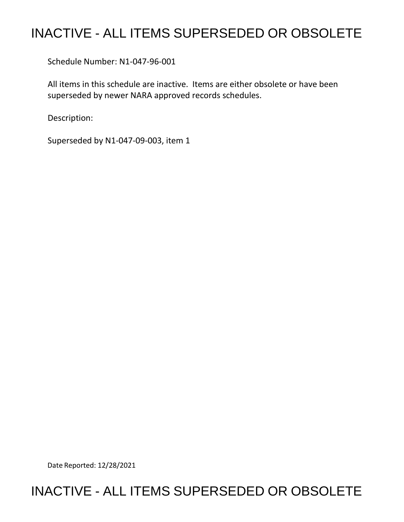## INACTIVE - ALL ITEMS SUPERSEDED OR OBSOLETE

Schedule Number: N1-047-96-001

 All items in this schedule are inactive. Items are either obsolete or have been superseded by newer NARA approved records schedules.

Description:

Superseded by N1-047-09-003, item 1

Date Reported: 12/28/2021

## INACTIVE - ALL ITEMS SUPERSEDED OR OBSOLETE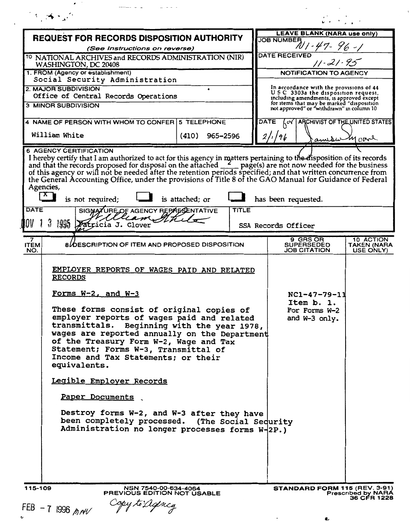| 3.563                                                                                                                                                                                                                                                                                                                                                                                                                                                                                                                                                                                                                            |                   |       |                                                       |                                                                                        |                                                                      | $\mathcal{L} \rightarrow \mathcal{L} \rightarrow \mathcal{L}$ |                                          |  |
|----------------------------------------------------------------------------------------------------------------------------------------------------------------------------------------------------------------------------------------------------------------------------------------------------------------------------------------------------------------------------------------------------------------------------------------------------------------------------------------------------------------------------------------------------------------------------------------------------------------------------------|-------------------|-------|-------------------------------------------------------|----------------------------------------------------------------------------------------|----------------------------------------------------------------------|---------------------------------------------------------------|------------------------------------------|--|
| <b>REQUEST FOR RECORDS DISPOSITION AUTHORITY</b>                                                                                                                                                                                                                                                                                                                                                                                                                                                                                                                                                                                 |                   |       |                                                       | <b>LEAVE BLANK (NARA use only)</b>                                                     |                                                                      |                                                               |                                          |  |
| (See Instructions on reverse)                                                                                                                                                                                                                                                                                                                                                                                                                                                                                                                                                                                                    |                   |       | JOB NUMBER 1-47-96-1                                  |                                                                                        |                                                                      |                                                               |                                          |  |
| <sup>10</sup> NATIONAL ARCHIVES and RECORDS ADMINISTRATION (NIR)<br>WASHINGTON, DC 20408                                                                                                                                                                                                                                                                                                                                                                                                                                                                                                                                         |                   |       |                                                       | <b>DATE RECEIVED</b><br>$11 - 21 - 95$                                                 |                                                                      |                                                               |                                          |  |
| 1. FROM (Agency or establishment)                                                                                                                                                                                                                                                                                                                                                                                                                                                                                                                                                                                                |                   |       |                                                       | NOTIFICATION TO AGENCY                                                                 |                                                                      |                                                               |                                          |  |
| Social Security Administration<br>2. MAJOR SUBDIVISION                                                                                                                                                                                                                                                                                                                                                                                                                                                                                                                                                                           |                   |       |                                                       | In accordance with the provisions of 44                                                |                                                                      |                                                               |                                          |  |
| Office of Central Records Operations                                                                                                                                                                                                                                                                                                                                                                                                                                                                                                                                                                                             |                   |       |                                                       | USC 3303a the disposition request,<br>including amendments, is approved except         |                                                                      |                                                               |                                          |  |
| <b>3 MINOR SUBDIVISION</b>                                                                                                                                                                                                                                                                                                                                                                                                                                                                                                                                                                                                       |                   |       |                                                       | for items that may be marked "disposition<br>not approved" or "withdrawn" in column 10 |                                                                      |                                                               |                                          |  |
| 4 NAME OF PERSON WITH WHOM TO CONFER 5 TELEPHONE                                                                                                                                                                                                                                                                                                                                                                                                                                                                                                                                                                                 |                   |       | <b>DATE</b><br>ARCHIVIST OF THE UNITED STATES<br>.∝ ∤ |                                                                                        |                                                                      |                                                               |                                          |  |
| William White                                                                                                                                                                                                                                                                                                                                                                                                                                                                                                                                                                                                                    | (410)<br>965-2596 |       | amounty care                                          |                                                                                        |                                                                      |                                                               |                                          |  |
| I hereby certify that I am authorized to act for this agency in matters pertaining to the disposition of its records<br>and that the records proposed for disposal on the attached $\frac{2}{\sqrt{2}}$ page(s) are not now needed for t<br>Agencies,<br>$\mathbf{X}$<br>is not required;<br>SIGMATURE OF AGENCY REPARSENTATIVE<br>DATE<br>alliam Sthil<br>1995<br>Patricia J. Glover                                                                                                                                                                                                                                            | is attached; or   | TITLE |                                                       | SSA Records Officer                                                                    | has been requested.                                                  |                                                               |                                          |  |
| 7                                                                                                                                                                                                                                                                                                                                                                                                                                                                                                                                                                                                                                |                   |       |                                                       |                                                                                        | 9 GRS OR                                                             |                                                               | 10 ACTION                                |  |
| 8/OESCRIPTION OF ITEM AND PROPOSED DISPOSITION<br><b>ITEM</b><br>NO.                                                                                                                                                                                                                                                                                                                                                                                                                                                                                                                                                             |                   |       |                                                       |                                                                                        | <b>SUPERSEDED</b><br>JOB CITATION                                    |                                                               | TAKEN (NARA<br>USE ONLY)                 |  |
| EMPLOYER REPORTS OF WAGES PAID AND RELATED<br><b>RECORDS</b><br><u>Forms W-2, and W-3</u><br>These forms consist of original copies of<br>employer reports of wages paid and related<br>transmittals. Beginning with the year 1978,<br>wages are reported annually on the Department<br>of the Treasury Form W-2, Wage and Tax<br>Statement; Forms W-3, Transmittal of<br>Income and Tax Statements; or their<br>equivalents.<br>Legible Employer Records<br>Paper Documents<br>Destroy forms W-2, and W-3 after they have<br>been completely processed. (The Social Sedurity<br>Administration no longer processes forms W-2P.) |                   |       |                                                       |                                                                                        | $NC1 - 47 - 79 - 11$<br>Item b. 1.<br>For Forms W-2<br>and W-3 only. |                                                               |                                          |  |
| 115-109<br>NSN 7540-00-634-4064<br>PREVIOUS EDITION NOT USABLE<br>FEB - 7 1996 $MAV$                                                                                                                                                                                                                                                                                                                                                                                                                                                                                                                                             |                   |       |                                                       |                                                                                        | <b>STANDARD FORM 115 (REV. 3-91)</b>                                 |                                                               | <b>Prescribed by NARA</b><br>36 CFR 1228 |  |

 $\ddot{\phantom{0}}$ 

Ł

 $\frac{1}{2}$ 

 $\sim 10^{-10}$